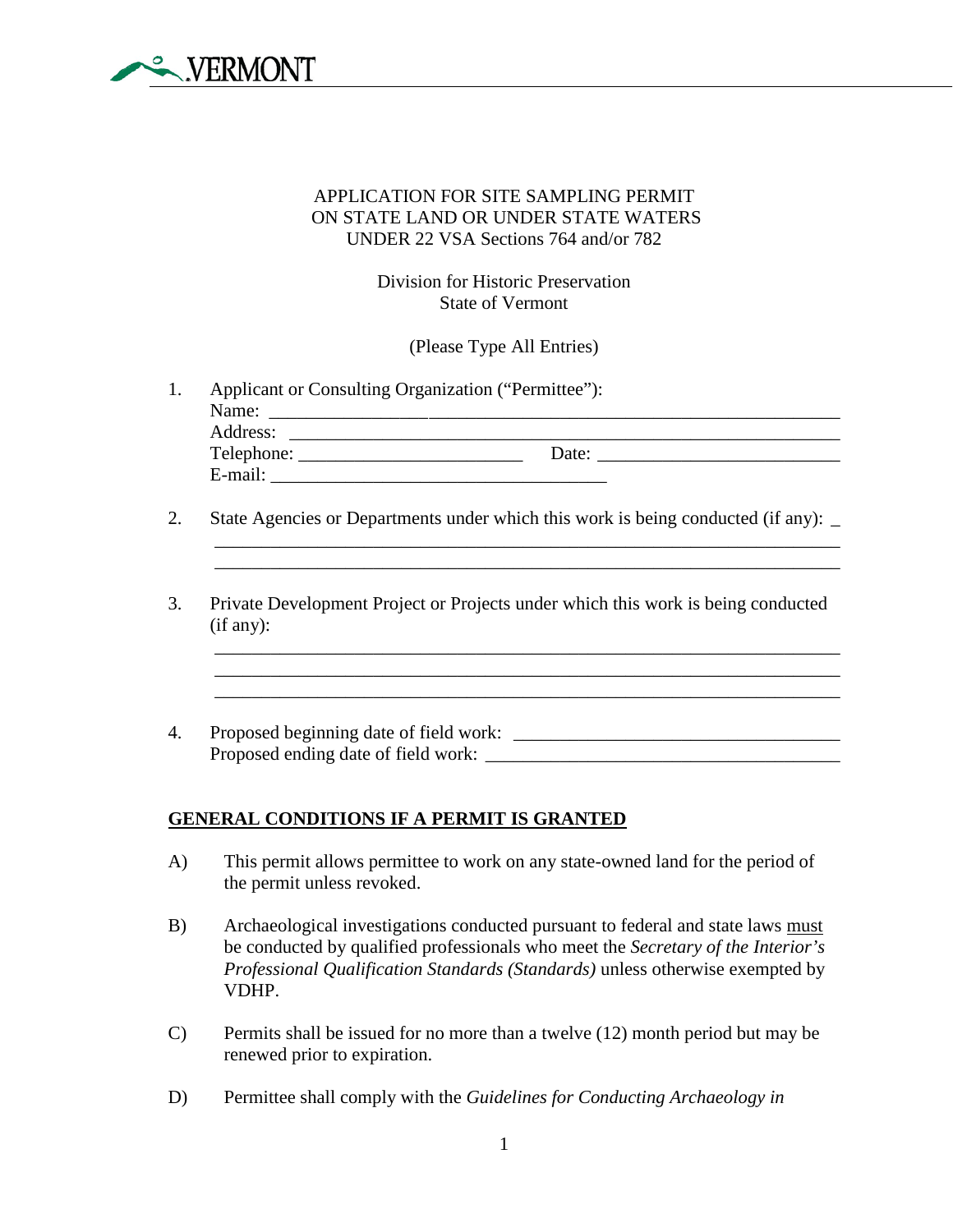

## APPLICATION FOR SITE SAMPLING PERMIT ON STATE LAND OR UNDER STATE WATERS UNDER 22 VSA Sections 764 and/or 782

Division for Historic Preservation State of Vermont

(Please Type All Entries)

- 1. Applicant or Consulting Organization ("Permittee"): Name: \_\_\_\_\_\_\_\_\_\_\_\_\_\_\_\_\_\_\_\_\_\_\_\_\_\_\_\_\_\_\_\_\_\_\_\_\_\_\_\_\_\_\_\_\_\_\_\_\_\_\_\_\_\_\_\_\_\_\_\_\_ Address: \_\_\_\_\_\_\_\_\_\_\_\_\_\_\_\_\_\_\_\_\_\_\_\_\_\_\_\_\_\_\_\_\_\_\_\_\_\_\_\_\_\_\_\_\_\_\_\_\_\_\_\_\_\_\_\_\_\_\_ Telephone: \_\_\_\_\_\_\_\_\_\_\_\_\_\_\_\_\_\_\_\_\_\_\_\_ Date: \_\_\_\_\_\_\_\_\_\_\_\_\_\_\_\_\_\_\_\_\_\_\_\_\_\_ E-mail:
- 2. State Agencies or Departments under which this work is being conducted (if any): \_

\_\_\_\_\_\_\_\_\_\_\_\_\_\_\_\_\_\_\_\_\_\_\_\_\_\_\_\_\_\_\_\_\_\_\_\_\_\_\_\_\_\_\_\_\_\_\_\_\_\_\_\_\_\_\_\_\_\_\_\_\_\_\_\_\_\_\_ \_\_\_\_\_\_\_\_\_\_\_\_\_\_\_\_\_\_\_\_\_\_\_\_\_\_\_\_\_\_\_\_\_\_\_\_\_\_\_\_\_\_\_\_\_\_\_\_\_\_\_\_\_\_\_\_\_\_\_\_\_\_\_\_\_\_\_

\_\_\_\_\_\_\_\_\_\_\_\_\_\_\_\_\_\_\_\_\_\_\_\_\_\_\_\_\_\_\_\_\_\_\_\_\_\_\_\_\_\_\_\_\_\_\_\_\_\_\_\_\_\_\_\_\_\_\_\_\_\_\_\_\_\_\_ \_\_\_\_\_\_\_\_\_\_\_\_\_\_\_\_\_\_\_\_\_\_\_\_\_\_\_\_\_\_\_\_\_\_\_\_\_\_\_\_\_\_\_\_\_\_\_\_\_\_\_\_\_\_\_\_\_\_\_\_\_\_\_\_\_\_\_

 $\mathcal{L}_\mathcal{L} = \mathcal{L}_\mathcal{L} = \mathcal{L}_\mathcal{L} = \mathcal{L}_\mathcal{L} = \mathcal{L}_\mathcal{L} = \mathcal{L}_\mathcal{L} = \mathcal{L}_\mathcal{L} = \mathcal{L}_\mathcal{L} = \mathcal{L}_\mathcal{L} = \mathcal{L}_\mathcal{L} = \mathcal{L}_\mathcal{L} = \mathcal{L}_\mathcal{L} = \mathcal{L}_\mathcal{L} = \mathcal{L}_\mathcal{L} = \mathcal{L}_\mathcal{L} = \mathcal{L}_\mathcal{L} = \mathcal{L}_\mathcal{L}$ 

- 3. Private Development Project or Projects under which this work is being conducted (if any):
- 4. Proposed beginning date of field work: \_\_\_\_\_\_\_\_\_\_\_\_\_\_\_\_\_\_\_\_\_\_\_\_\_\_\_\_\_\_\_\_\_\_\_ Proposed ending date of field work: \_\_\_\_\_\_\_\_\_\_\_\_\_\_\_\_\_\_\_\_\_\_\_\_\_\_\_\_\_\_\_\_\_\_\_\_\_\_

## **GENERAL CONDITIONS IF A PERMIT IS GRANTED**

- A) This permit allows permittee to work on any state-owned land for the period of the permit unless revoked.
- B) Archaeological investigations conducted pursuant to federal and state laws must be conducted by qualified professionals who meet the *Secretary of the Interior's Professional Qualification Standards (Standards)* unless otherwise exempted by VDHP.
- C) Permits shall be issued for no more than a twelve (12) month period but may be renewed prior to expiration.
- D) Permittee shall comply with the *Guidelines for Conducting Archaeology in*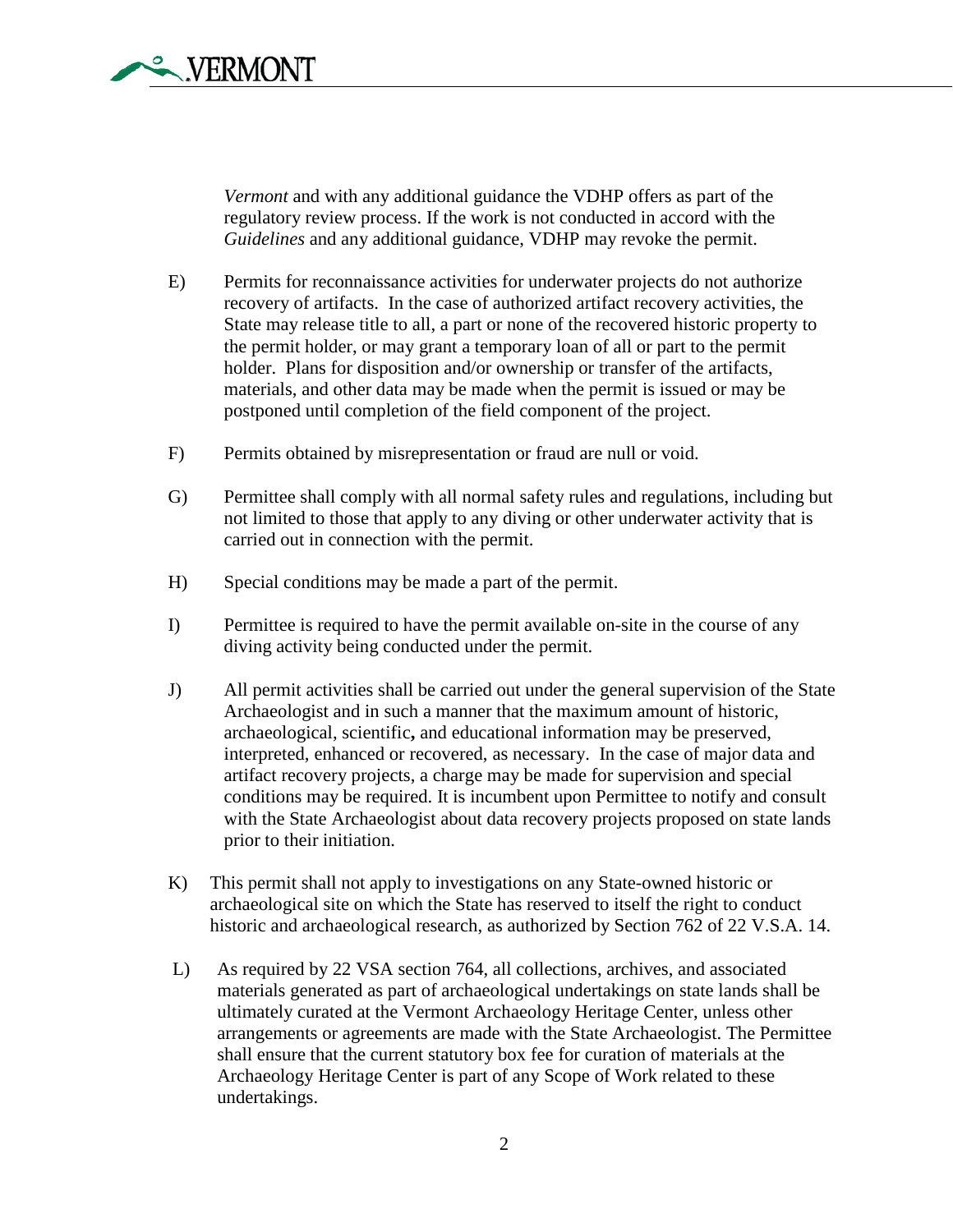*Vermont* and with any additional guidance the VDHP offers as part of the regulatory review process. If the work is not conducted in accord with the *Guidelines* and any additional guidance, VDHP may revoke the permit.

- E) Permits for reconnaissance activities for underwater projects do not authorize recovery of artifacts. In the case of authorized artifact recovery activities, the State may release title to all, a part or none of the recovered historic property to the permit holder, or may grant a temporary loan of all or part to the permit holder. Plans for disposition and/or ownership or transfer of the artifacts, materials, and other data may be made when the permit is issued or may be postponed until completion of the field component of the project.
- F) Permits obtained by misrepresentation or fraud are null or void.
- G) Permittee shall comply with all normal safety rules and regulations, including but not limited to those that apply to any diving or other underwater activity that is carried out in connection with the permit.
- H) Special conditions may be made a part of the permit.
- I) Permittee is required to have the permit available on-site in the course of any diving activity being conducted under the permit.
- J) All permit activities shall be carried out under the general supervision of the State Archaeologist and in such a manner that the maximum amount of historic, archaeological, scientific**,** and educational information may be preserved, interpreted, enhanced or recovered, as necessary. In the case of major data and artifact recovery projects, a charge may be made for supervision and special conditions may be required. It is incumbent upon Permittee to notify and consult with the State Archaeologist about data recovery projects proposed on state lands prior to their initiation.
- K) This permit shall not apply to investigations on any State-owned historic or archaeological site on which the State has reserved to itself the right to conduct historic and archaeological research, as authorized by Section 762 of 22 V.S.A. 14.
- L) As required by 22 VSA section 764, all collections, archives, and associated materials generated as part of archaeological undertakings on state lands shall be ultimately curated at the Vermont Archaeology Heritage Center, unless other arrangements or agreements are made with the State Archaeologist. The Permittee shall ensure that the current statutory box fee for curation of materials at the Archaeology Heritage Center is part of any Scope of Work related to these undertakings.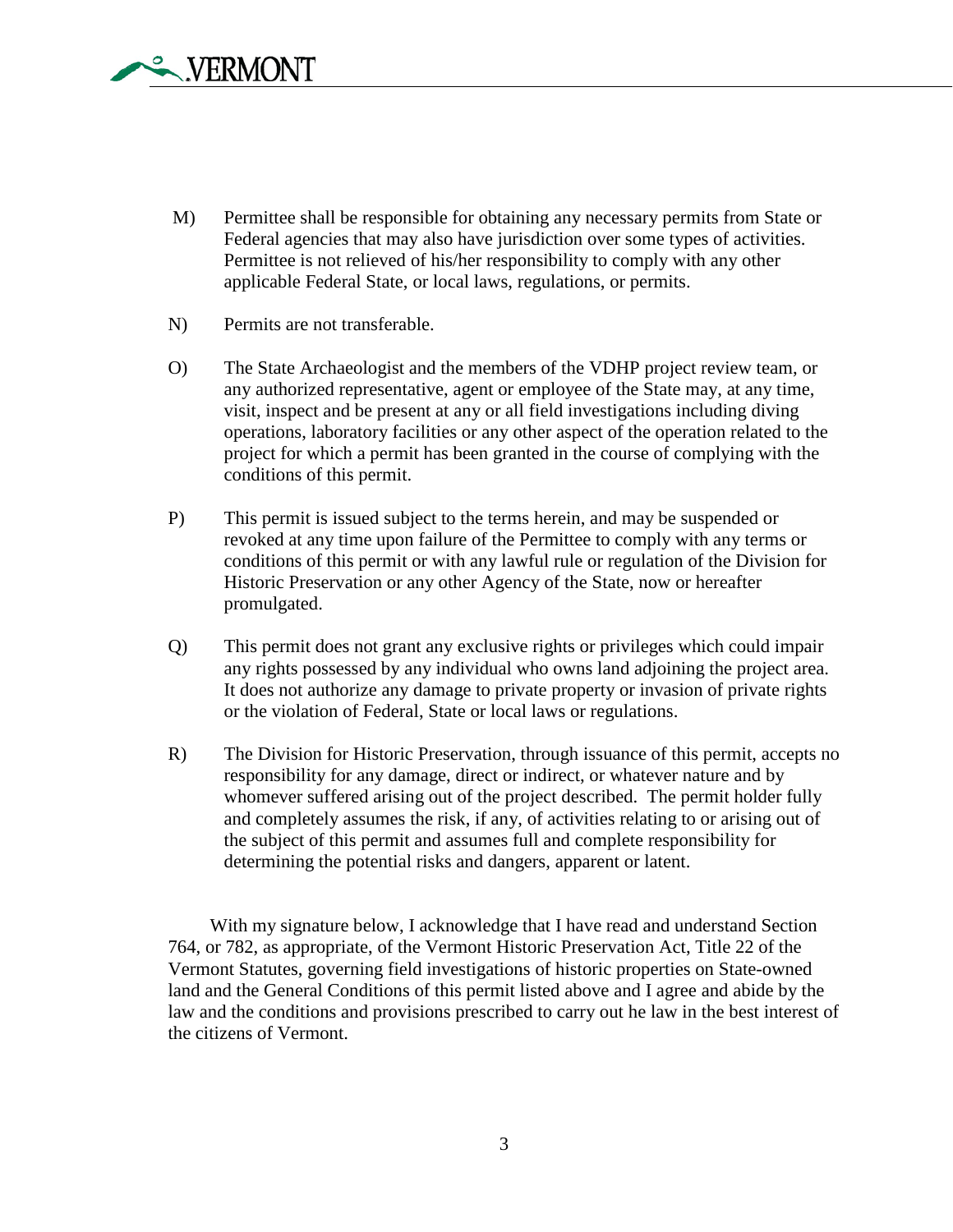

- M) Permittee shall be responsible for obtaining any necessary permits from State or Federal agencies that may also have jurisdiction over some types of activities. Permittee is not relieved of his/her responsibility to comply with any other applicable Federal State, or local laws, regulations, or permits.
- N) Permits are not transferable.
- O) The State Archaeologist and the members of the VDHP project review team, or any authorized representative, agent or employee of the State may, at any time, visit, inspect and be present at any or all field investigations including diving operations, laboratory facilities or any other aspect of the operation related to the project for which a permit has been granted in the course of complying with the conditions of this permit.
- P) This permit is issued subject to the terms herein, and may be suspended or revoked at any time upon failure of the Permittee to comply with any terms or conditions of this permit or with any lawful rule or regulation of the Division for Historic Preservation or any other Agency of the State, now or hereafter promulgated.
- Q) This permit does not grant any exclusive rights or privileges which could impair any rights possessed by any individual who owns land adjoining the project area. It does not authorize any damage to private property or invasion of private rights or the violation of Federal, State or local laws or regulations.
- R) The Division for Historic Preservation, through issuance of this permit, accepts no responsibility for any damage, direct or indirect, or whatever nature and by whomever suffered arising out of the project described. The permit holder fully and completely assumes the risk, if any, of activities relating to or arising out of the subject of this permit and assumes full and complete responsibility for determining the potential risks and dangers, apparent or latent.

With my signature below, I acknowledge that I have read and understand Section 764, or 782, as appropriate, of the Vermont Historic Preservation Act, Title 22 of the Vermont Statutes, governing field investigations of historic properties on State-owned land and the General Conditions of this permit listed above and I agree and abide by the law and the conditions and provisions prescribed to carry out he law in the best interest of the citizens of Vermont.